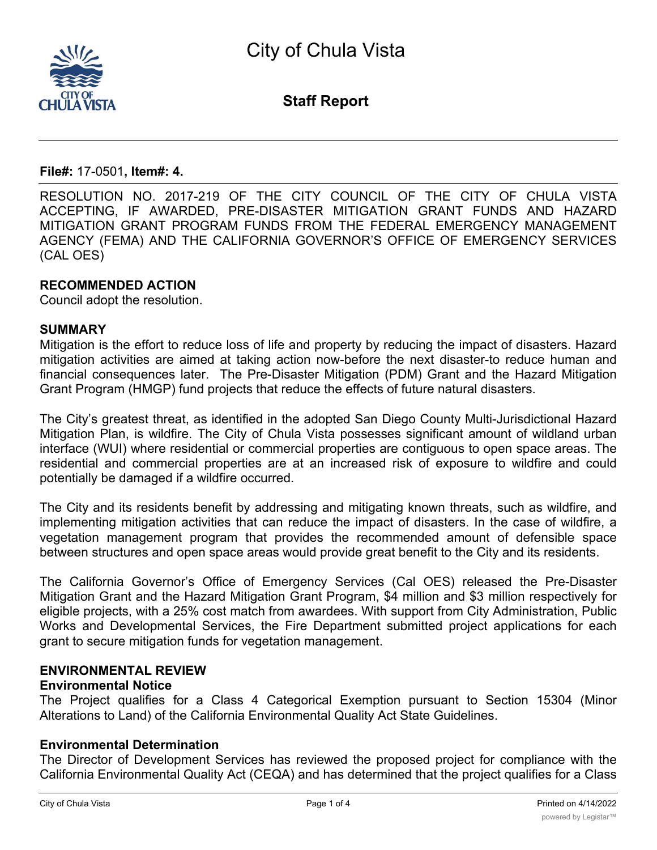

**Staff Report**

#### **File#:** 17-0501**, Item#: 4.**

RESOLUTION NO. 2017-219 OF THE CITY COUNCIL OF THE CITY OF CHULA VISTA ACCEPTING, IF AWARDED, PRE-DISASTER MITIGATION GRANT FUNDS AND HAZARD MITIGATION GRANT PROGRAM FUNDS FROM THE FEDERAL EMERGENCY MANAGEMENT AGENCY (FEMA) AND THE CALIFORNIA GOVERNOR'S OFFICE OF EMERGENCY SERVICES (CAL OES)

#### **RECOMMENDED ACTION**

Council adopt the resolution.

#### **SUMMARY**

Mitigation is the effort to reduce loss of life and property by reducing the impact of disasters. Hazard mitigation activities are aimed at taking action now-before the next disaster-to reduce human and financial consequences later. The Pre-Disaster Mitigation (PDM) Grant and the Hazard Mitigation Grant Program (HMGP) fund projects that reduce the effects of future natural disasters.

The City's greatest threat, as identified in the adopted San Diego County Multi-Jurisdictional Hazard Mitigation Plan, is wildfire. The City of Chula Vista possesses significant amount of wildland urban interface (WUI) where residential or commercial properties are contiguous to open space areas. The residential and commercial properties are at an increased risk of exposure to wildfire and could potentially be damaged if a wildfire occurred.

The City and its residents benefit by addressing and mitigating known threats, such as wildfire, and implementing mitigation activities that can reduce the impact of disasters. In the case of wildfire, a vegetation management program that provides the recommended amount of defensible space between structures and open space areas would provide great benefit to the City and its residents.

The California Governor's Office of Emergency Services (Cal OES) released the Pre-Disaster Mitigation Grant and the Hazard Mitigation Grant Program, \$4 million and \$3 million respectively for eligible projects, with a 25% cost match from awardees. With support from City Administration, Public Works and Developmental Services, the Fire Department submitted project applications for each grant to secure mitigation funds for vegetation management.

#### **ENVIRONMENTAL REVIEW Environmental Notice**

The Project qualifies for a Class 4 Categorical Exemption pursuant to Section 15304 (Minor Alterations to Land) of the California Environmental Quality Act State Guidelines.

#### **Environmental Determination**

The Director of Development Services has reviewed the proposed project for compliance with the California Environmental Quality Act (CEQA) and has determined that the project qualifies for a Class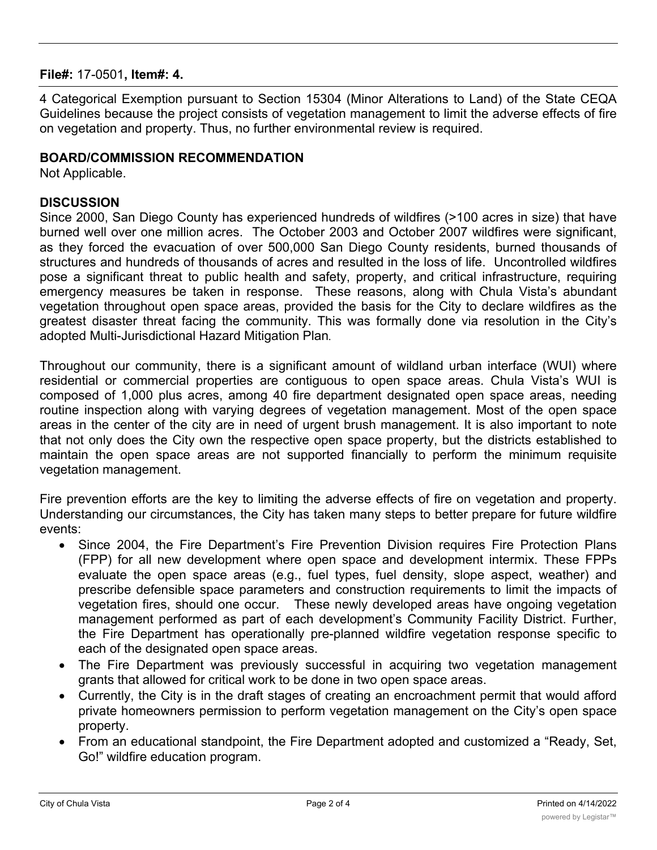## **File#:** 17-0501**, Item#: 4.**

4 Categorical Exemption pursuant to Section 15304 (Minor Alterations to Land) of the State CEQA Guidelines because the project consists of vegetation management to limit the adverse effects of fire on vegetation and property. Thus, no further environmental review is required.

## **BOARD/COMMISSION RECOMMENDATION**

Not Applicable.

### **DISCUSSION**

Since 2000, San Diego County has experienced hundreds of wildfires (>100 acres in size) that have burned well over one million acres. The October 2003 and October 2007 wildfires were significant, as they forced the evacuation of over 500,000 San Diego County residents, burned thousands of structures and hundreds of thousands of acres and resulted in the loss of life. Uncontrolled wildfires pose a significant threat to public health and safety, property, and critical infrastructure, requiring emergency measures be taken in response. These reasons, along with Chula Vista's abundant vegetation throughout open space areas, provided the basis for the City to declare wildfires as the greatest disaster threat facing the community. This was formally done via resolution in the City's adopted Multi-Jurisdictional Hazard Mitigation Plan*.*

Throughout our community, there is a significant amount of wildland urban interface (WUI) where residential or commercial properties are contiguous to open space areas. Chula Vista's WUI is composed of 1,000 plus acres, among 40 fire department designated open space areas, needing routine inspection along with varying degrees of vegetation management. Most of the open space areas in the center of the city are in need of urgent brush management. It is also important to note that not only does the City own the respective open space property, but the districts established to maintain the open space areas are not supported financially to perform the minimum requisite vegetation management.

Fire prevention efforts are the key to limiting the adverse effects of fire on vegetation and property. Understanding our circumstances, the City has taken many steps to better prepare for future wildfire events:

- Since 2004, the Fire Department's Fire Prevention Division requires Fire Protection Plans (FPP) for all new development where open space and development intermix. These FPPs evaluate the open space areas (e.g., fuel types, fuel density, slope aspect, weather) and prescribe defensible space parameters and construction requirements to limit the impacts of vegetation fires, should one occur. These newly developed areas have ongoing vegetation management performed as part of each development's Community Facility District. Further, the Fire Department has operationally pre-planned wildfire vegetation response specific to each of the designated open space areas.
- The Fire Department was previously successful in acquiring two vegetation management grants that allowed for critical work to be done in two open space areas.
- · Currently, the City is in the draft stages of creating an encroachment permit that would afford private homeowners permission to perform vegetation management on the City's open space property.
- · From an educational standpoint, the Fire Department adopted and customized a "Ready, Set, Go!" wildfire education program.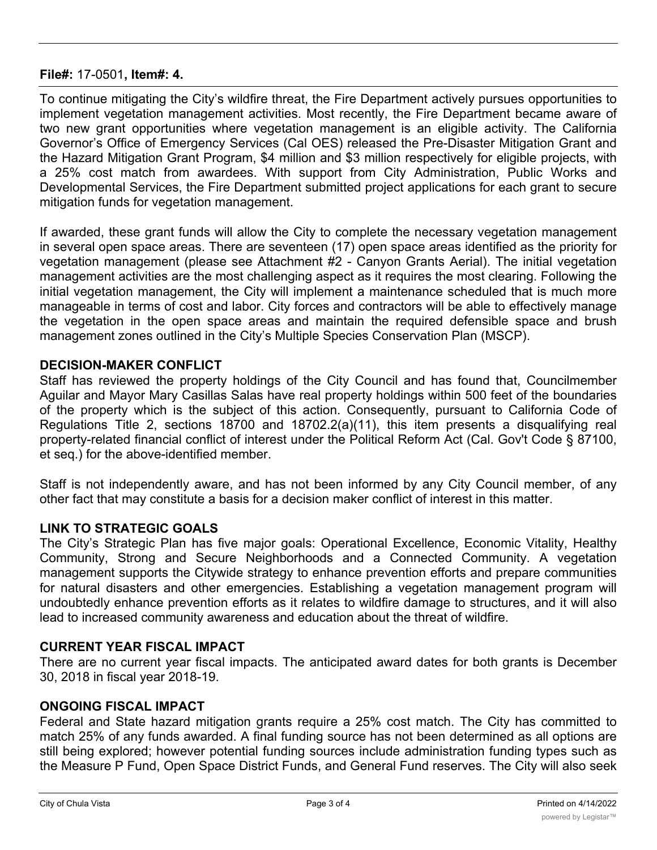## **File#:** 17-0501**, Item#: 4.**

To continue mitigating the City's wildfire threat, the Fire Department actively pursues opportunities to implement vegetation management activities. Most recently, the Fire Department became aware of two new grant opportunities where vegetation management is an eligible activity. The California Governor's Office of Emergency Services (Cal OES) released the Pre-Disaster Mitigation Grant and the Hazard Mitigation Grant Program, \$4 million and \$3 million respectively for eligible projects, with a 25% cost match from awardees. With support from City Administration, Public Works and Developmental Services, the Fire Department submitted project applications for each grant to secure mitigation funds for vegetation management.

If awarded, these grant funds will allow the City to complete the necessary vegetation management in several open space areas. There are seventeen (17) open space areas identified as the priority for vegetation management (please see Attachment #2 - Canyon Grants Aerial). The initial vegetation management activities are the most challenging aspect as it requires the most clearing. Following the initial vegetation management, the City will implement a maintenance scheduled that is much more manageable in terms of cost and labor. City forces and contractors will be able to effectively manage the vegetation in the open space areas and maintain the required defensible space and brush management zones outlined in the City's Multiple Species Conservation Plan (MSCP).

## **DECISION-MAKER CONFLICT**

Staff has reviewed the property holdings of the City Council and has found that, Councilmember Aguilar and Mayor Mary Casillas Salas have real property holdings within 500 feet of the boundaries of the property which is the subject of this action. Consequently, pursuant to California Code of Regulations Title 2, sections 18700 and 18702.2(a)(11), this item presents a disqualifying real property-related financial conflict of interest under the Political Reform Act (Cal. Gov't Code § 87100, et seq.) for the above-identified member.

Staff is not independently aware, and has not been informed by any City Council member, of any other fact that may constitute a basis for a decision maker conflict of interest in this matter.

## **LINK TO STRATEGIC GOALS**

The City's Strategic Plan has five major goals: Operational Excellence, Economic Vitality, Healthy Community, Strong and Secure Neighborhoods and a Connected Community. A vegetation management supports the Citywide strategy to enhance prevention efforts and prepare communities for natural disasters and other emergencies. Establishing a vegetation management program will undoubtedly enhance prevention efforts as it relates to wildfire damage to structures, and it will also lead to increased community awareness and education about the threat of wildfire.

## **CURRENT YEAR FISCAL IMPACT**

There are no current year fiscal impacts. The anticipated award dates for both grants is December 30, 2018 in fiscal year 2018-19.

# **ONGOING FISCAL IMPACT**

Federal and State hazard mitigation grants require a 25% cost match. The City has committed to match 25% of any funds awarded. A final funding source has not been determined as all options are still being explored; however potential funding sources include administration funding types such as the Measure P Fund, Open Space District Funds, and General Fund reserves. The City will also seek